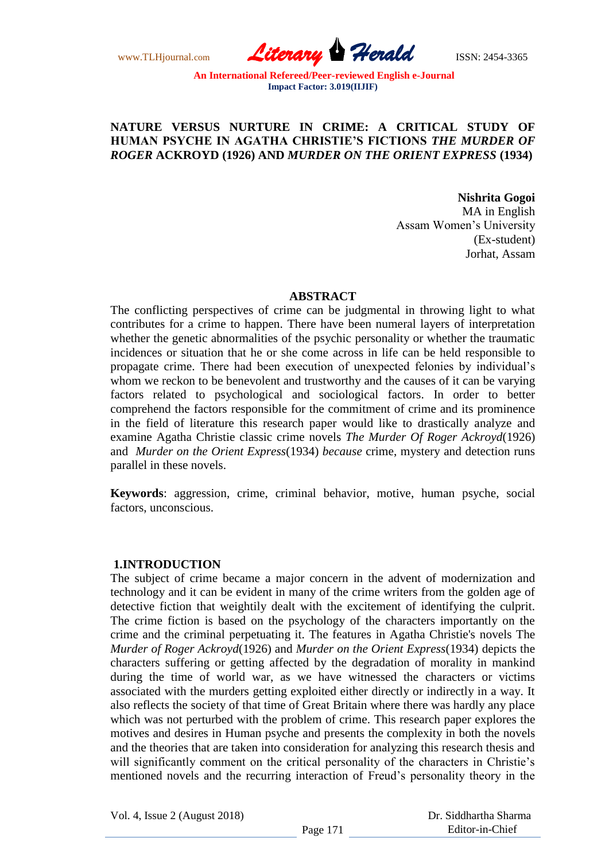www.TLHjournal.com **Literary Herald** ISSN: 2454-3365

# **NATURE VERSUS NURTURE IN CRIME: A CRITICAL STUDY OF HUMAN PSYCHE IN AGATHA CHRISTIE'S FICTIONS** *THE MURDER OF ROGER* **ACKROYD (1926) AND** *MURDER ON THE ORIENT EXPRESS* **(1934)**

**Nishrita Gogoi** MA in English Assam Women"s University (Ex-student) Jorhat, Assam

### **ABSTRACT**

The conflicting perspectives of crime can be judgmental in throwing light to what contributes for a crime to happen. There have been numeral layers of interpretation whether the genetic abnormalities of the psychic personality or whether the traumatic incidences or situation that he or she come across in life can be held responsible to propagate crime. There had been execution of unexpected felonies by individual"s whom we reckon to be benevolent and trustworthy and the causes of it can be varying factors related to psychological and sociological factors. In order to better comprehend the factors responsible for the commitment of crime and its prominence in the field of literature this research paper would like to drastically analyze and examine Agatha Christie classic crime novels *The Murder Of Roger Ackroyd*(1926) and *Murder on the Orient Express*(1934) *because* crime, mystery and detection runs parallel in these novels.

**Keywords**: aggression, crime, criminal behavior, motive, human psyche, social factors, unconscious.

#### **1.INTRODUCTION**

The subject of crime became a major concern in the advent of modernization and technology and it can be evident in many of the crime writers from the golden age of detective fiction that weightily dealt with the excitement of identifying the culprit. The crime fiction is based on the psychology of the characters importantly on the crime and the criminal perpetuating it. The features in Agatha Christie's novels The *Murder of Roger Ackroyd*(1926) and *Murder on the Orient Express*(1934) depicts the characters suffering or getting affected by the degradation of morality in mankind during the time of world war, as we have witnessed the characters or victims associated with the murders getting exploited either directly or indirectly in a way. It also reflects the society of that time of Great Britain where there was hardly any place which was not perturbed with the problem of crime. This research paper explores the motives and desires in Human psyche and presents the complexity in both the novels and the theories that are taken into consideration for analyzing this research thesis and will significantly comment on the critical personality of the characters in Christie's mentioned novels and the recurring interaction of Freud"s personality theory in the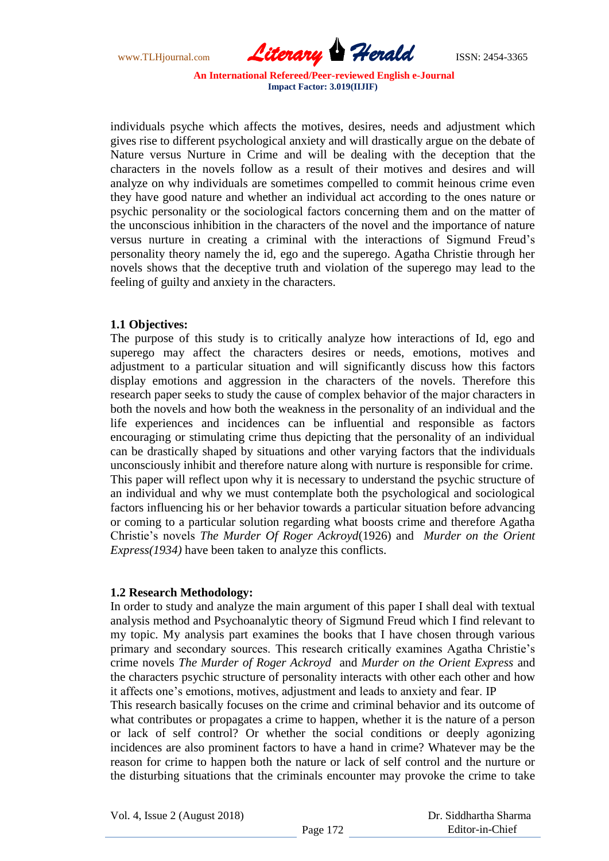www.TLHjournal.com **Literary Herald** ISSN: 2454-3365

individuals psyche which affects the motives, desires, needs and adjustment which gives rise to different psychological anxiety and will drastically argue on the debate of Nature versus Nurture in Crime and will be dealing with the deception that the characters in the novels follow as a result of their motives and desires and will analyze on why individuals are sometimes compelled to commit heinous crime even they have good nature and whether an individual act according to the ones nature or psychic personality or the sociological factors concerning them and on the matter of the unconscious inhibition in the characters of the novel and the importance of nature versus nurture in creating a criminal with the interactions of Sigmund Freud"s personality theory namely the id, ego and the superego. Agatha Christie through her novels shows that the deceptive truth and violation of the superego may lead to the feeling of guilty and anxiety in the characters.

### **1.1 Objectives:**

The purpose of this study is to critically analyze how interactions of Id, ego and superego may affect the characters desires or needs, emotions, motives and adjustment to a particular situation and will significantly discuss how this factors display emotions and aggression in the characters of the novels. Therefore this research paper seeks to study the cause of complex behavior of the major characters in both the novels and how both the weakness in the personality of an individual and the life experiences and incidences can be influential and responsible as factors encouraging or stimulating crime thus depicting that the personality of an individual can be drastically shaped by situations and other varying factors that the individuals unconsciously inhibit and therefore nature along with nurture is responsible for crime. This paper will reflect upon why it is necessary to understand the psychic structure of an individual and why we must contemplate both the psychological and sociological factors influencing his or her behavior towards a particular situation before advancing or coming to a particular solution regarding what boosts crime and therefore Agatha Christie"s novels *The Murder Of Roger Ackroyd*(1926) and *Murder on the Orient Express(1934)* have been taken to analyze this conflicts.

### **1.2 Research Methodology:**

In order to study and analyze the main argument of this paper I shall deal with textual analysis method and Psychoanalytic theory of Sigmund Freud which I find relevant to my topic. My analysis part examines the books that I have chosen through various primary and secondary sources. This research critically examines Agatha Christie"s crime novels *The Murder of Roger Ackroyd* and *Murder on the Orient Express* and the characters psychic structure of personality interacts with other each other and how it affects one's emotions, motives, adjustment and leads to anxiety and fear. IP

This research basically focuses on the crime and criminal behavior and its outcome of what contributes or propagates a crime to happen, whether it is the nature of a person or lack of self control? Or whether the social conditions or deeply agonizing incidences are also prominent factors to have a hand in crime? Whatever may be the reason for crime to happen both the nature or lack of self control and the nurture or the disturbing situations that the criminals encounter may provoke the crime to take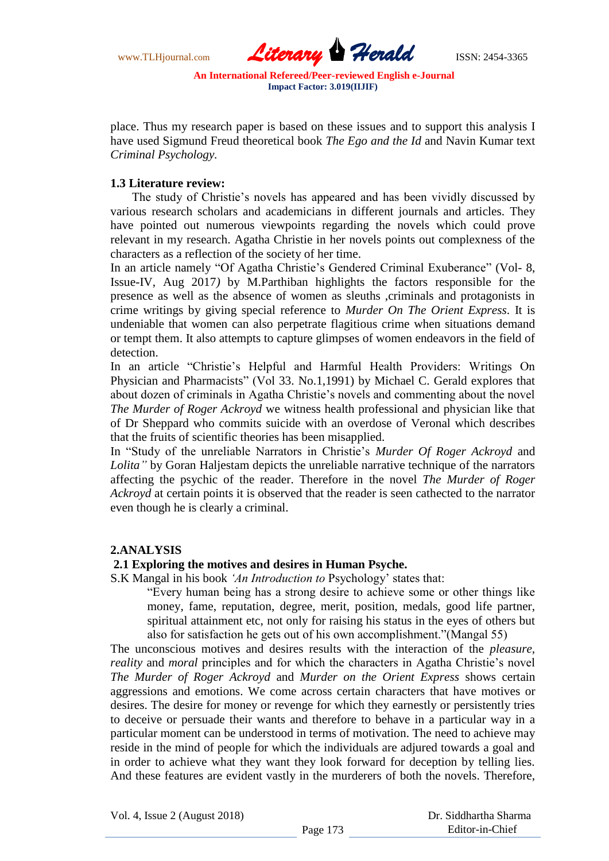www.TLHjournal.com **Literary Herald** ISSN: 2454-3365

place. Thus my research paper is based on these issues and to support this analysis I have used Sigmund Freud theoretical book *The Ego and the Id* and Navin Kumar text *Criminal Psychology.*

## **1.3 Literature review:**

The study of Christie's novels has appeared and has been vividly discussed by various research scholars and academicians in different journals and articles. They have pointed out numerous viewpoints regarding the novels which could prove relevant in my research. Agatha Christie in her novels points out complexness of the characters as a reflection of the society of her time.

In an article namely "Of Agatha Christie's Gendered Criminal Exuberance" (Vol- 8, Issue-IV, Aug 2017*)* by M.Parthiban highlights the factors responsible for the presence as well as the absence of women as sleuths ,criminals and protagonists in crime writings by giving special reference to *Murder On The Orient Express*. It is undeniable that women can also perpetrate flagitious crime when situations demand or tempt them. It also attempts to capture glimpses of women endeavors in the field of detection.

In an article "Christie"s Helpful and Harmful Health Providers: Writings On Physician and Pharmacists" (Vol 33. No.1,1991) by Michael C. Gerald explores that about dozen of criminals in Agatha Christie"s novels and commenting about the novel *The Murder of Roger Ackroyd* we witness health professional and physician like that of Dr Sheppard who commits suicide with an overdose of Veronal which describes that the fruits of scientific theories has been misapplied.

In "Study of the unreliable Narrators in Christie"s *Murder Of Roger Ackroyd* and *Lolita"* by Goran Haljestam depicts the unreliable narrative technique of the narrators affecting the psychic of the reader. Therefore in the novel *The Murder of Roger Ackroyd* at certain points it is observed that the reader is seen cathected to the narrator even though he is clearly a criminal.

## **2.ANALYSIS**

## **2.1 Exploring the motives and desires in Human Psyche.**

S.K Mangal in his book *'An Introduction to* Psychology" states that:

"Every human being has a strong desire to achieve some or other things like money, fame, reputation, degree, merit, position, medals, good life partner, spiritual attainment etc, not only for raising his status in the eyes of others but also for satisfaction he gets out of his own accomplishment."(Mangal 55)

The unconscious motives and desires results with the interaction of the *pleasure, reality* and *moral* principles and for which the characters in Agatha Christie's novel *The Murder of Roger Ackroyd* and *Murder on the Orient Express* shows certain aggressions and emotions. We come across certain characters that have motives or desires. The desire for money or revenge for which they earnestly or persistently tries to deceive or persuade their wants and therefore to behave in a particular way in a particular moment can be understood in terms of motivation. The need to achieve may reside in the mind of people for which the individuals are adjured towards a goal and in order to achieve what they want they look forward for deception by telling lies. And these features are evident vastly in the murderers of both the novels. Therefore,

Vol. 4, Issue 2 (August 2018)

 Dr. Siddhartha Sharma Editor-in-Chief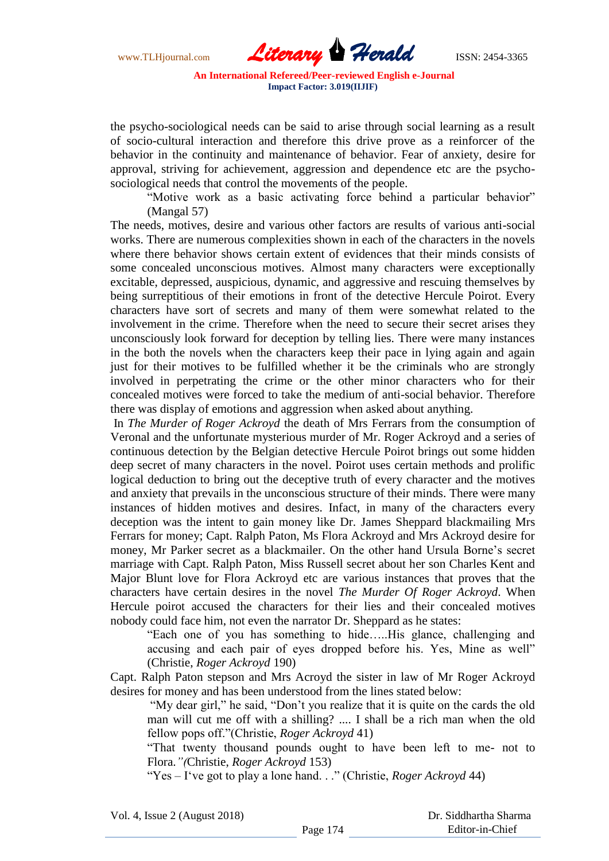www.TLHjournal.com **Literary Herald** ISSN: 2454-3365

the psycho-sociological needs can be said to arise through social learning as a result of socio-cultural interaction and therefore this drive prove as a reinforcer of the behavior in the continuity and maintenance of behavior. Fear of anxiety, desire for approval, striving for achievement, aggression and dependence etc are the psychosociological needs that control the movements of the people.

"Motive work as a basic activating force behind a particular behavior" (Mangal 57)

The needs, motives, desire and various other factors are results of various anti-social works. There are numerous complexities shown in each of the characters in the novels where there behavior shows certain extent of evidences that their minds consists of some concealed unconscious motives. Almost many characters were exceptionally excitable, depressed, auspicious, dynamic, and aggressive and rescuing themselves by being surreptitious of their emotions in front of the detective Hercule Poirot. Every characters have sort of secrets and many of them were somewhat related to the involvement in the crime. Therefore when the need to secure their secret arises they unconsciously look forward for deception by telling lies. There were many instances in the both the novels when the characters keep their pace in lying again and again just for their motives to be fulfilled whether it be the criminals who are strongly involved in perpetrating the crime or the other minor characters who for their concealed motives were forced to take the medium of anti-social behavior. Therefore there was display of emotions and aggression when asked about anything.

In *The Murder of Roger Ackroyd* the death of Mrs Ferrars from the consumption of Veronal and the unfortunate mysterious murder of Mr. Roger Ackroyd and a series of continuous detection by the Belgian detective Hercule Poirot brings out some hidden deep secret of many characters in the novel. Poirot uses certain methods and prolific logical deduction to bring out the deceptive truth of every character and the motives and anxiety that prevails in the unconscious structure of their minds. There were many instances of hidden motives and desires. Infact, in many of the characters every deception was the intent to gain money like Dr. James Sheppard blackmailing Mrs Ferrars for money; Capt. Ralph Paton, Ms Flora Ackroyd and Mrs Ackroyd desire for money, Mr Parker secret as a blackmailer. On the other hand Ursula Borne"s secret marriage with Capt. Ralph Paton, Miss Russell secret about her son Charles Kent and Major Blunt love for Flora Ackroyd etc are various instances that proves that the characters have certain desires in the novel *The Murder Of Roger Ackroyd*. When Hercule poirot accused the characters for their lies and their concealed motives nobody could face him, not even the narrator Dr. Sheppard as he states:

"Each one of you has something to hide…..His glance, challenging and accusing and each pair of eyes dropped before his. Yes, Mine as well" (Christie, *Roger Ackroyd* 190)

Capt. Ralph Paton stepson and Mrs Acroyd the sister in law of Mr Roger Ackroyd desires for money and has been understood from the lines stated below:

"My dear girl," he said, "Don"t you realize that it is quite on the cards the old man will cut me off with a shilling? .... I shall be a rich man when the old fellow pops off."(Christie, *Roger Ackroyd* 41)

"That twenty thousand pounds ought to have been left to me- not to Flora.*"(*Christie, *Roger Ackroyd* 153)

"Yes – I"ve got to play a lone hand. . ." (Christie, *Roger Ackroyd* 44)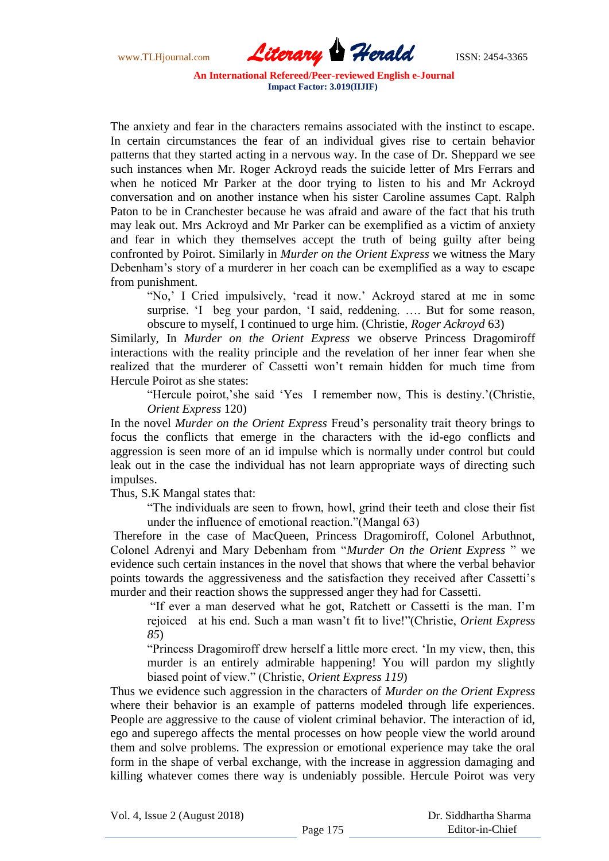www.TLHjournal.com **Literary Herald** ISSN: 2454-3365

The anxiety and fear in the characters remains associated with the instinct to escape. In certain circumstances the fear of an individual gives rise to certain behavior patterns that they started acting in a nervous way. In the case of Dr. Sheppard we see such instances when Mr. Roger Ackroyd reads the suicide letter of Mrs Ferrars and when he noticed Mr Parker at the door trying to listen to his and Mr Ackroyd conversation and on another instance when his sister Caroline assumes Capt. Ralph Paton to be in Cranchester because he was afraid and aware of the fact that his truth may leak out. Mrs Ackroyd and Mr Parker can be exemplified as a victim of anxiety and fear in which they themselves accept the truth of being guilty after being confronted by Poirot. Similarly in *Murder on the Orient Express* we witness the Mary Debenham"s story of a murderer in her coach can be exemplified as a way to escape from punishment.

"No," I Cried impulsively, "read it now." Ackroyd stared at me in some surprise. 'I beg your pardon, 'I said, reddening. .... But for some reason, obscure to myself, I continued to urge him. (Christie, *Roger Ackroyd* 63)

Similarly, In *Murder on the Orient Express* we observe Princess Dragomiroff interactions with the reality principle and the revelation of her inner fear when she realized that the murderer of Cassetti won"t remain hidden for much time from Hercule Poirot as she states:

"Hercule poirot,'she said 'Yes I remember now, This is destiny.'(Christie, *Orient Express* 120)

In the novel *Murder on the Orient Express* Freud"s personality trait theory brings to focus the conflicts that emerge in the characters with the id-ego conflicts and aggression is seen more of an id impulse which is normally under control but could leak out in the case the individual has not learn appropriate ways of directing such impulses.

Thus, S.K Mangal states that:

"The individuals are seen to frown, howl, grind their teeth and close their fist under the influence of emotional reaction."(Mangal 63)

Therefore in the case of MacQueen, Princess Dragomiroff, Colonel Arbuthnot, Colonel Adrenyi and Mary Debenham from "*Murder On the Orient Express* " we evidence such certain instances in the novel that shows that where the verbal behavior points towards the aggressiveness and the satisfaction they received after Cassetti"s murder and their reaction shows the suppressed anger they had for Cassetti.

"If ever a man deserved what he got, Ratchett or Cassetti is the man. I"m rejoiced at his end. Such a man wasn"t fit to live!"(Christie, *Orient Express 85*)

"Princess Dragomiroff drew herself a little more erect. "In my view, then, this murder is an entirely admirable happening! You will pardon my slightly biased point of view." (Christie, *Orient Express 119*)

Thus we evidence such aggression in the characters of *Murder on the Orient Express* where their behavior is an example of patterns modeled through life experiences. People are aggressive to the cause of violent criminal behavior. The interaction of id, ego and superego affects the mental processes on how people view the world around them and solve problems. The expression or emotional experience may take the oral form in the shape of verbal exchange, with the increase in aggression damaging and killing whatever comes there way is undeniably possible. Hercule Poirot was very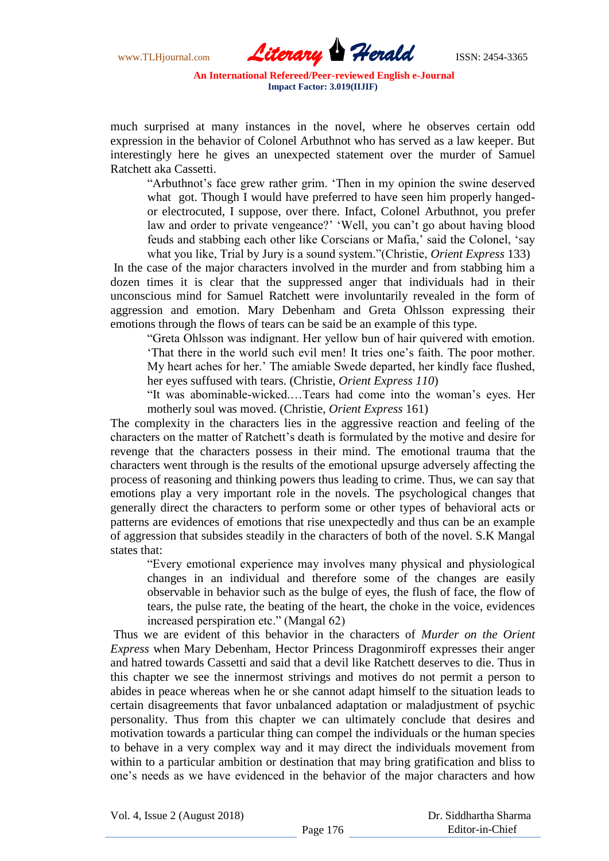www.TLHjournal.com **Literary Herald** ISSN: 2454-3365

much surprised at many instances in the novel, where he observes certain odd expression in the behavior of Colonel Arbuthnot who has served as a law keeper. But interestingly here he gives an unexpected statement over the murder of Samuel Ratchett aka Cassetti.

"Arbuthnot's face grew rather grim. 'Then in my opinion the swine deserved what got. Though I would have preferred to have seen him properly hangedor electrocuted, I suppose, over there. Infact, Colonel Arbuthnot, you prefer law and order to private vengeance?" "Well, you can"t go about having blood feuds and stabbing each other like Corscians or Mafia," said the Colonel, "say what you like, Trial by Jury is a sound system."(Christie, *Orient Express* 133)

In the case of the major characters involved in the murder and from stabbing him a dozen times it is clear that the suppressed anger that individuals had in their unconscious mind for Samuel Ratchett were involuntarily revealed in the form of aggression and emotion. Mary Debenham and Greta Ohlsson expressing their emotions through the flows of tears can be said be an example of this type.

"Greta Ohlsson was indignant. Her yellow bun of hair quivered with emotion. "That there in the world such evil men! It tries one"s faith. The poor mother. My heart aches for her." The amiable Swede departed, her kindly face flushed, her eyes suffused with tears. (Christie, *Orient Express 110*)

"It was abominable-wicked.…Tears had come into the woman"s eyes. Her motherly soul was moved. (Christie*, Orient Express* 161)

The complexity in the characters lies in the aggressive reaction and feeling of the characters on the matter of Ratchett"s death is formulated by the motive and desire for revenge that the characters possess in their mind. The emotional trauma that the characters went through is the results of the emotional upsurge adversely affecting the process of reasoning and thinking powers thus leading to crime. Thus, we can say that emotions play a very important role in the novels. The psychological changes that generally direct the characters to perform some or other types of behavioral acts or patterns are evidences of emotions that rise unexpectedly and thus can be an example of aggression that subsides steadily in the characters of both of the novel. S.K Mangal states that:

"Every emotional experience may involves many physical and physiological changes in an individual and therefore some of the changes are easily observable in behavior such as the bulge of eyes, the flush of face, the flow of tears, the pulse rate, the beating of the heart, the choke in the voice, evidences increased perspiration etc." (Mangal 62)

Thus we are evident of this behavior in the characters of *Murder on the Orient Express* when Mary Debenham, Hector Princess Dragonmiroff expresses their anger and hatred towards Cassetti and said that a devil like Ratchett deserves to die. Thus in this chapter we see the innermost strivings and motives do not permit a person to abides in peace whereas when he or she cannot adapt himself to the situation leads to certain disagreements that favor unbalanced adaptation or maladjustment of psychic personality. Thus from this chapter we can ultimately conclude that desires and motivation towards a particular thing can compel the individuals or the human species to behave in a very complex way and it may direct the individuals movement from within to a particular ambition or destination that may bring gratification and bliss to one"s needs as we have evidenced in the behavior of the major characters and how

Vol. 4, Issue 2 (August 2018)

 Dr. Siddhartha Sharma Editor-in-Chief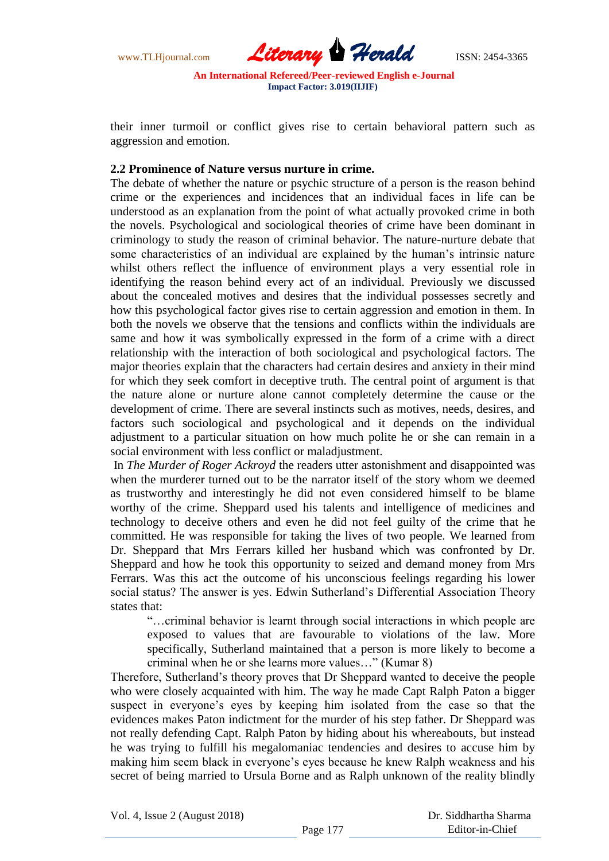www.TLHjournal.com **Literary Herald** ISSN: 2454-3365

their inner turmoil or conflict gives rise to certain behavioral pattern such as aggression and emotion.

## **2.2 Prominence of Nature versus nurture in crime.**

The debate of whether the nature or psychic structure of a person is the reason behind crime or the experiences and incidences that an individual faces in life can be understood as an explanation from the point of what actually provoked crime in both the novels. Psychological and sociological theories of crime have been dominant in criminology to study the reason of criminal behavior. The nature-nurture debate that some characteristics of an individual are explained by the human's intrinsic nature whilst others reflect the influence of environment plays a very essential role in identifying the reason behind every act of an individual. Previously we discussed about the concealed motives and desires that the individual possesses secretly and how this psychological factor gives rise to certain aggression and emotion in them. In both the novels we observe that the tensions and conflicts within the individuals are same and how it was symbolically expressed in the form of a crime with a direct relationship with the interaction of both sociological and psychological factors. The major theories explain that the characters had certain desires and anxiety in their mind for which they seek comfort in deceptive truth. The central point of argument is that the nature alone or nurture alone cannot completely determine the cause or the development of crime. There are several instincts such as motives, needs, desires, and factors such sociological and psychological and it depends on the individual adjustment to a particular situation on how much polite he or she can remain in a social environment with less conflict or maladjustment.

In *The Murder of Roger Ackroyd* the readers utter astonishment and disappointed was when the murderer turned out to be the narrator itself of the story whom we deemed as trustworthy and interestingly he did not even considered himself to be blame worthy of the crime. Sheppard used his talents and intelligence of medicines and technology to deceive others and even he did not feel guilty of the crime that he committed. He was responsible for taking the lives of two people. We learned from Dr. Sheppard that Mrs Ferrars killed her husband which was confronted by Dr. Sheppard and how he took this opportunity to seized and demand money from Mrs Ferrars. Was this act the outcome of his unconscious feelings regarding his lower social status? The answer is yes. Edwin Sutherland"s Differential Association Theory states that:

"…criminal behavior is learnt through social interactions in which people are exposed to values that are favourable to violations of the law. More specifically, Sutherland maintained that a person is more likely to become a criminal when he or she learns more values…" (Kumar 8)

Therefore, Sutherland"s theory proves that Dr Sheppard wanted to deceive the people who were closely acquainted with him. The way he made Capt Ralph Paton a bigger suspect in everyone's eyes by keeping him isolated from the case so that the evidences makes Paton indictment for the murder of his step father. Dr Sheppard was not really defending Capt. Ralph Paton by hiding about his whereabouts, but instead he was trying to fulfill his megalomaniac tendencies and desires to accuse him by making him seem black in everyone"s eyes because he knew Ralph weakness and his secret of being married to Ursula Borne and as Ralph unknown of the reality blindly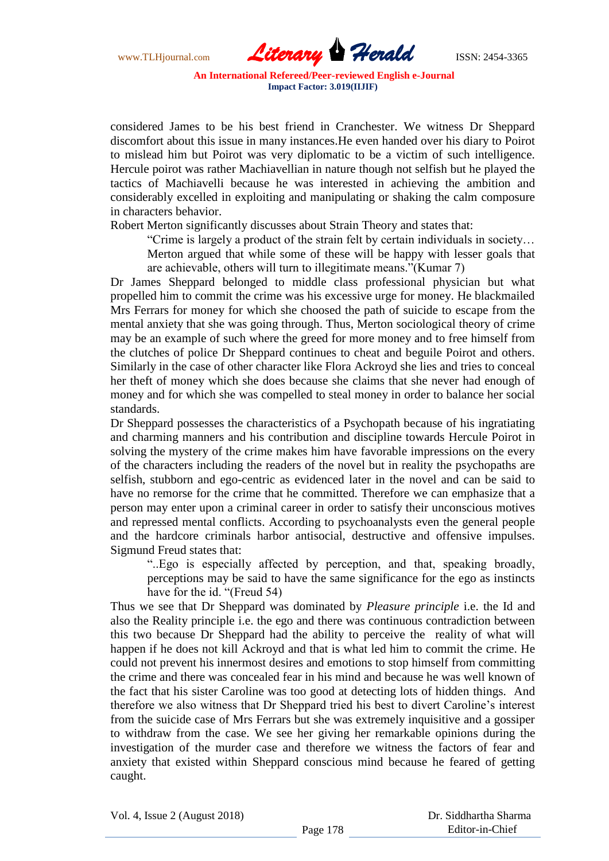www.TLHjournal.com **Literary Herald** ISSN: 2454-3365

considered James to be his best friend in Cranchester. We witness Dr Sheppard discomfort about this issue in many instances.He even handed over his diary to Poirot to mislead him but Poirot was very diplomatic to be a victim of such intelligence. Hercule poirot was rather Machiavellian in nature though not selfish but he played the tactics of Machiavelli because he was interested in achieving the ambition and considerably excelled in exploiting and manipulating or shaking the calm composure in characters behavior.

Robert Merton significantly discusses about Strain Theory and states that:

"Crime is largely a product of the strain felt by certain individuals in society…

Merton argued that while some of these will be happy with lesser goals that are achievable, others will turn to illegitimate means."(Kumar 7)

Dr James Sheppard belonged to middle class professional physician but what propelled him to commit the crime was his excessive urge for money. He blackmailed Mrs Ferrars for money for which she choosed the path of suicide to escape from the mental anxiety that she was going through. Thus, Merton sociological theory of crime may be an example of such where the greed for more money and to free himself from the clutches of police Dr Sheppard continues to cheat and beguile Poirot and others. Similarly in the case of other character like Flora Ackroyd she lies and tries to conceal her theft of money which she does because she claims that she never had enough of money and for which she was compelled to steal money in order to balance her social standards.

Dr Sheppard possesses the characteristics of a Psychopath because of his ingratiating and charming manners and his contribution and discipline towards Hercule Poirot in solving the mystery of the crime makes him have favorable impressions on the every of the characters including the readers of the novel but in reality the psychopaths are selfish, stubborn and ego-centric as evidenced later in the novel and can be said to have no remorse for the crime that he committed. Therefore we can emphasize that a person may enter upon a criminal career in order to satisfy their unconscious motives and repressed mental conflicts. According to psychoanalysts even the general people and the hardcore criminals harbor antisocial, destructive and offensive impulses. Sigmund Freud states that:

"..Ego is especially affected by perception, and that, speaking broadly, perceptions may be said to have the same significance for the ego as instincts have for the id. "(Freud 54)

Thus we see that Dr Sheppard was dominated by *Pleasure principle* i.e. the Id and also the Reality principle i.e. the ego and there was continuous contradiction between this two because Dr Sheppard had the ability to perceive the reality of what will happen if he does not kill Ackroyd and that is what led him to commit the crime. He could not prevent his innermost desires and emotions to stop himself from committing the crime and there was concealed fear in his mind and because he was well known of the fact that his sister Caroline was too good at detecting lots of hidden things. And therefore we also witness that Dr Sheppard tried his best to divert Caroline"s interest from the suicide case of Mrs Ferrars but she was extremely inquisitive and a gossiper to withdraw from the case. We see her giving her remarkable opinions during the investigation of the murder case and therefore we witness the factors of fear and anxiety that existed within Sheppard conscious mind because he feared of getting caught.

Vol. 4, Issue 2 (August 2018)

 Dr. Siddhartha Sharma Editor-in-Chief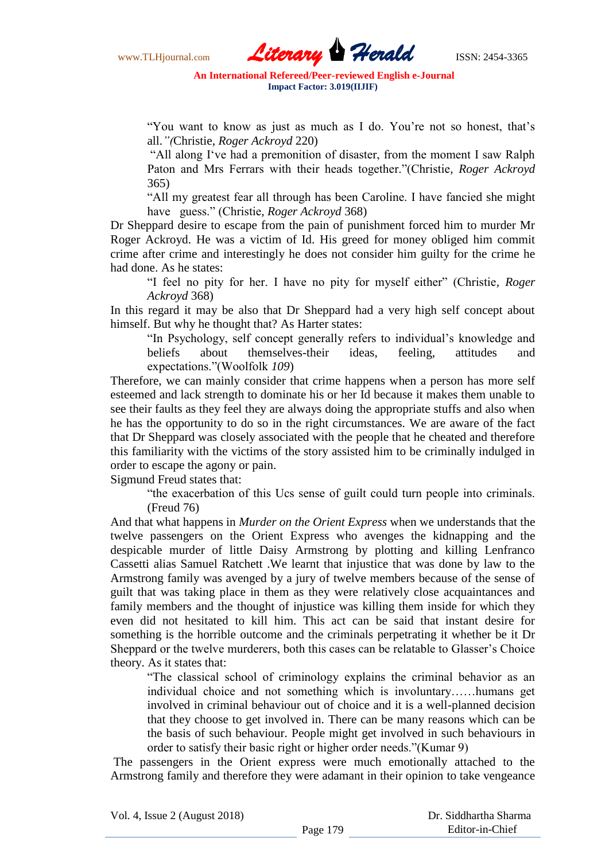www.TLHjournal.com **Literary Herald** ISSN: 2454-3365

"You want to know as just as much as I do. You're not so honest, that's all.*"(*Christie, *Roger Ackroyd* 220)

"All along I"ve had a premonition of disaster, from the moment I saw Ralph Paton and Mrs Ferrars with their heads together."(Christie*, Roger Ackroyd* 365)

"All my greatest fear all through has been Caroline. I have fancied she might have guess." (Christie*, Roger Ackroyd* 368)

Dr Sheppard desire to escape from the pain of punishment forced him to murder Mr Roger Ackroyd. He was a victim of Id. His greed for money obliged him commit crime after crime and interestingly he does not consider him guilty for the crime he had done. As he states:

"I feel no pity for her. I have no pity for myself either" (Christie*, Roger Ackroyd* 368)

In this regard it may be also that Dr Sheppard had a very high self concept about himself. But why he thought that? As Harter states:

"In Psychology, self concept generally refers to individual"s knowledge and beliefs about themselves-their ideas, feeling, attitudes and expectations."(Woolfolk *109*)

Therefore, we can mainly consider that crime happens when a person has more self esteemed and lack strength to dominate his or her Id because it makes them unable to see their faults as they feel they are always doing the appropriate stuffs and also when he has the opportunity to do so in the right circumstances. We are aware of the fact that Dr Sheppard was closely associated with the people that he cheated and therefore this familiarity with the victims of the story assisted him to be criminally indulged in order to escape the agony or pain.

Sigmund Freud states that:

"the exacerbation of this Ucs sense of guilt could turn people into criminals. (Freud 76)

And that what happens in *Murder on the Orient Express* when we understands that the twelve passengers on the Orient Express who avenges the kidnapping and the despicable murder of little Daisy Armstrong by plotting and killing Lenfranco Cassetti alias Samuel Ratchett .We learnt that injustice that was done by law to the Armstrong family was avenged by a jury of twelve members because of the sense of guilt that was taking place in them as they were relatively close acquaintances and family members and the thought of injustice was killing them inside for which they even did not hesitated to kill him. This act can be said that instant desire for something is the horrible outcome and the criminals perpetrating it whether be it Dr Sheppard or the twelve murderers, both this cases can be relatable to Glasser's Choice theory. As it states that:

"The classical school of criminology explains the criminal behavior as an individual choice and not something which is involuntary……humans get involved in criminal behaviour out of choice and it is a well-planned decision that they choose to get involved in. There can be many reasons which can be the basis of such behaviour. People might get involved in such behaviours in order to satisfy their basic right or higher order needs."(Kumar 9)

The passengers in the Orient express were much emotionally attached to the Armstrong family and therefore they were adamant in their opinion to take vengeance

Vol. 4, Issue 2 (August 2018)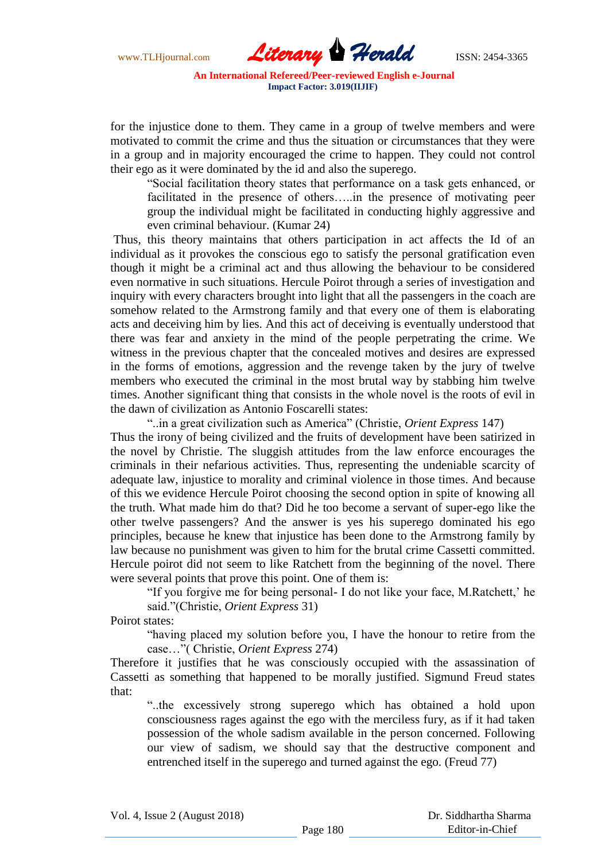www.TLHjournal.com **Literary Herald** ISSN: 2454-3365

for the injustice done to them. They came in a group of twelve members and were motivated to commit the crime and thus the situation or circumstances that they were in a group and in majority encouraged the crime to happen. They could not control their ego as it were dominated by the id and also the superego.

"Social facilitation theory states that performance on a task gets enhanced, or facilitated in the presence of others…..in the presence of motivating peer group the individual might be facilitated in conducting highly aggressive and even criminal behaviour. (Kumar 24)

Thus, this theory maintains that others participation in act affects the Id of an individual as it provokes the conscious ego to satisfy the personal gratification even though it might be a criminal act and thus allowing the behaviour to be considered even normative in such situations. Hercule Poirot through a series of investigation and inquiry with every characters brought into light that all the passengers in the coach are somehow related to the Armstrong family and that every one of them is elaborating acts and deceiving him by lies. And this act of deceiving is eventually understood that there was fear and anxiety in the mind of the people perpetrating the crime. We witness in the previous chapter that the concealed motives and desires are expressed in the forms of emotions, aggression and the revenge taken by the jury of twelve members who executed the criminal in the most brutal way by stabbing him twelve times. Another significant thing that consists in the whole novel is the roots of evil in the dawn of civilization as Antonio Foscarelli states:

"..in a great civilization such as America" (Christie, *Orient Express* 147) Thus the irony of being civilized and the fruits of development have been satirized in the novel by Christie. The sluggish attitudes from the law enforce encourages the criminals in their nefarious activities. Thus, representing the undeniable scarcity of adequate law, injustice to morality and criminal violence in those times. And because of this we evidence Hercule Poirot choosing the second option in spite of knowing all the truth. What made him do that? Did he too become a servant of super-ego like the other twelve passengers? And the answer is yes his superego dominated his ego principles, because he knew that injustice has been done to the Armstrong family by law because no punishment was given to him for the brutal crime Cassetti committed. Hercule poirot did not seem to like Ratchett from the beginning of the novel. There were several points that prove this point. One of them is:

"If you forgive me for being personal- I do not like your face, M.Ratchett," he said."(Christie, *Orient Express* 31)

Poirot states:

"having placed my solution before you, I have the honour to retire from the case…"( Christie, *Orient Express* 274)

Therefore it justifies that he was consciously occupied with the assassination of Cassetti as something that happened to be morally justified. Sigmund Freud states that:

"..the excessively strong superego which has obtained a hold upon consciousness rages against the ego with the merciless fury, as if it had taken possession of the whole sadism available in the person concerned. Following our view of sadism, we should say that the destructive component and entrenched itself in the superego and turned against the ego. (Freud 77)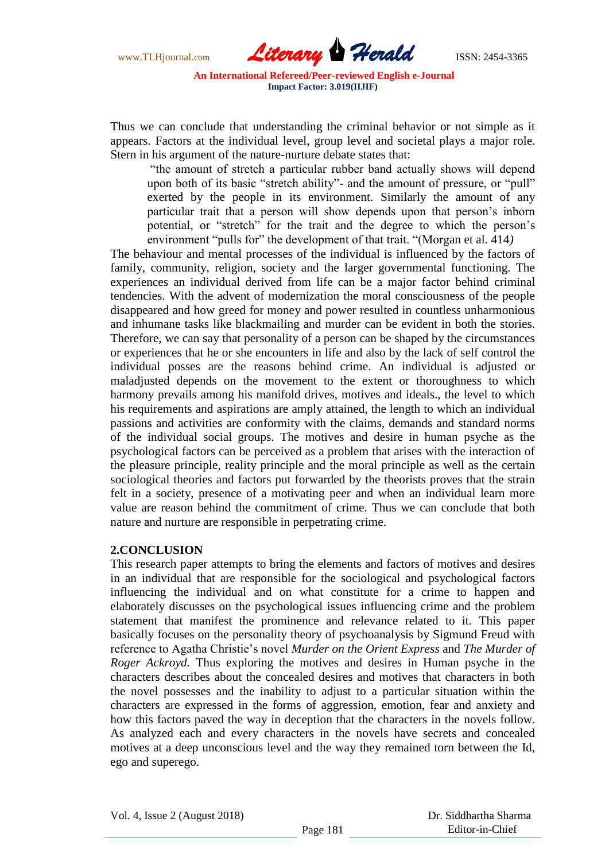www.TLHjournal.com **Literary Herald** ISSN: 2454-3365

Thus we can conclude that understanding the criminal behavior or not simple as it appears. Factors at the individual level, group level and societal plays a major role. Stern in his argument of the nature-nurture debate states that:

"the amount of stretch a particular rubber band actually shows will depend upon both of its basic "stretch ability"- and the amount of pressure, or "pull" exerted by the people in its environment. Similarly the amount of any particular trait that a person will show depends upon that person"s inborn potential, or "stretch" for the trait and the degree to which the person"s environment "pulls for" the development of that trait. "(Morgan et al. 414*)*

The behaviour and mental processes of the individual is influenced by the factors of family, community, religion, society and the larger governmental functioning. The experiences an individual derived from life can be a major factor behind criminal tendencies. With the advent of modernization the moral consciousness of the people disappeared and how greed for money and power resulted in countless unharmonious and inhumane tasks like blackmailing and murder can be evident in both the stories. Therefore, we can say that personality of a person can be shaped by the circumstances or experiences that he or she encounters in life and also by the lack of self control the individual posses are the reasons behind crime. An individual is adjusted or maladjusted depends on the movement to the extent or thoroughness to which harmony prevails among his manifold drives, motives and ideals., the level to which his requirements and aspirations are amply attained, the length to which an individual passions and activities are conformity with the claims, demands and standard norms of the individual social groups. The motives and desire in human psyche as the psychological factors can be perceived as a problem that arises with the interaction of the pleasure principle, reality principle and the moral principle as well as the certain sociological theories and factors put forwarded by the theorists proves that the strain felt in a society, presence of a motivating peer and when an individual learn more value are reason behind the commitment of crime. Thus we can conclude that both nature and nurture are responsible in perpetrating crime.

## **2.CONCLUSION**

This research paper attempts to bring the elements and factors of motives and desires in an individual that are responsible for the sociological and psychological factors influencing the individual and on what constitute for a crime to happen and elaborately discusses on the psychological issues influencing crime and the problem statement that manifest the prominence and relevance related to it. This paper basically focuses on the personality theory of psychoanalysis by Sigmund Freud with reference to Agatha Christie"s novel *Murder on the Orient Express* and *The Murder of Roger Ackroyd.* Thus exploring the motives and desires in Human psyche in the characters describes about the concealed desires and motives that characters in both the novel possesses and the inability to adjust to a particular situation within the characters are expressed in the forms of aggression, emotion, fear and anxiety and how this factors paved the way in deception that the characters in the novels follow. As analyzed each and every characters in the novels have secrets and concealed motives at a deep unconscious level and the way they remained torn between the Id, ego and superego.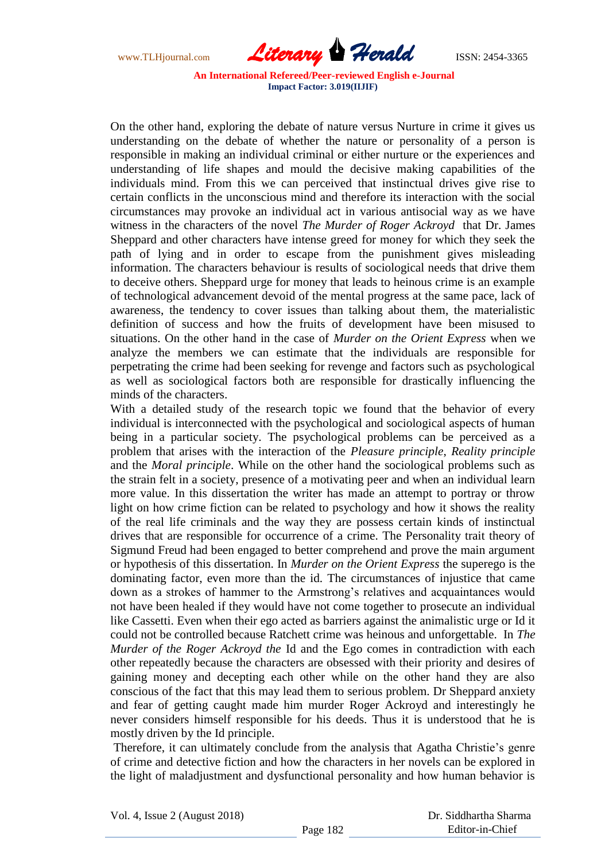www.TLHjournal.com **Literary Herald** ISSN: 2454-3365

On the other hand, exploring the debate of nature versus Nurture in crime it gives us understanding on the debate of whether the nature or personality of a person is responsible in making an individual criminal or either nurture or the experiences and understanding of life shapes and mould the decisive making capabilities of the individuals mind. From this we can perceived that instinctual drives give rise to certain conflicts in the unconscious mind and therefore its interaction with the social circumstances may provoke an individual act in various antisocial way as we have witness in the characters of the novel *The Murder of Roger Ackroyd* that Dr. James Sheppard and other characters have intense greed for money for which they seek the path of lying and in order to escape from the punishment gives misleading information. The characters behaviour is results of sociological needs that drive them to deceive others. Sheppard urge for money that leads to heinous crime is an example of technological advancement devoid of the mental progress at the same pace, lack of awareness, the tendency to cover issues than talking about them, the materialistic definition of success and how the fruits of development have been misused to situations. On the other hand in the case of *Murder on the Orient Express* when we analyze the members we can estimate that the individuals are responsible for perpetrating the crime had been seeking for revenge and factors such as psychological as well as sociological factors both are responsible for drastically influencing the minds of the characters.

With a detailed study of the research topic we found that the behavior of every individual is interconnected with the psychological and sociological aspects of human being in a particular society. The psychological problems can be perceived as a problem that arises with the interaction of the *Pleasure principle*, *Reality principle* and the *Moral principle*. While on the other hand the sociological problems such as the strain felt in a society, presence of a motivating peer and when an individual learn more value. In this dissertation the writer has made an attempt to portray or throw light on how crime fiction can be related to psychology and how it shows the reality of the real life criminals and the way they are possess certain kinds of instinctual drives that are responsible for occurrence of a crime. The Personality trait theory of Sigmund Freud had been engaged to better comprehend and prove the main argument or hypothesis of this dissertation. In *Murder on the Orient Express* the superego is the dominating factor, even more than the id. The circumstances of injustice that came down as a strokes of hammer to the Armstrong's relatives and acquaintances would not have been healed if they would have not come together to prosecute an individual like Cassetti. Even when their ego acted as barriers against the animalistic urge or Id it could not be controlled because Ratchett crime was heinous and unforgettable. In *The Murder of the Roger Ackroyd the* Id and the Ego comes in contradiction with each other repeatedly because the characters are obsessed with their priority and desires of gaining money and decepting each other while on the other hand they are also conscious of the fact that this may lead them to serious problem. Dr Sheppard anxiety and fear of getting caught made him murder Roger Ackroyd and interestingly he never considers himself responsible for his deeds. Thus it is understood that he is mostly driven by the Id principle.

Therefore, it can ultimately conclude from the analysis that Agatha Christie"s genre of crime and detective fiction and how the characters in her novels can be explored in the light of maladjustment and dysfunctional personality and how human behavior is